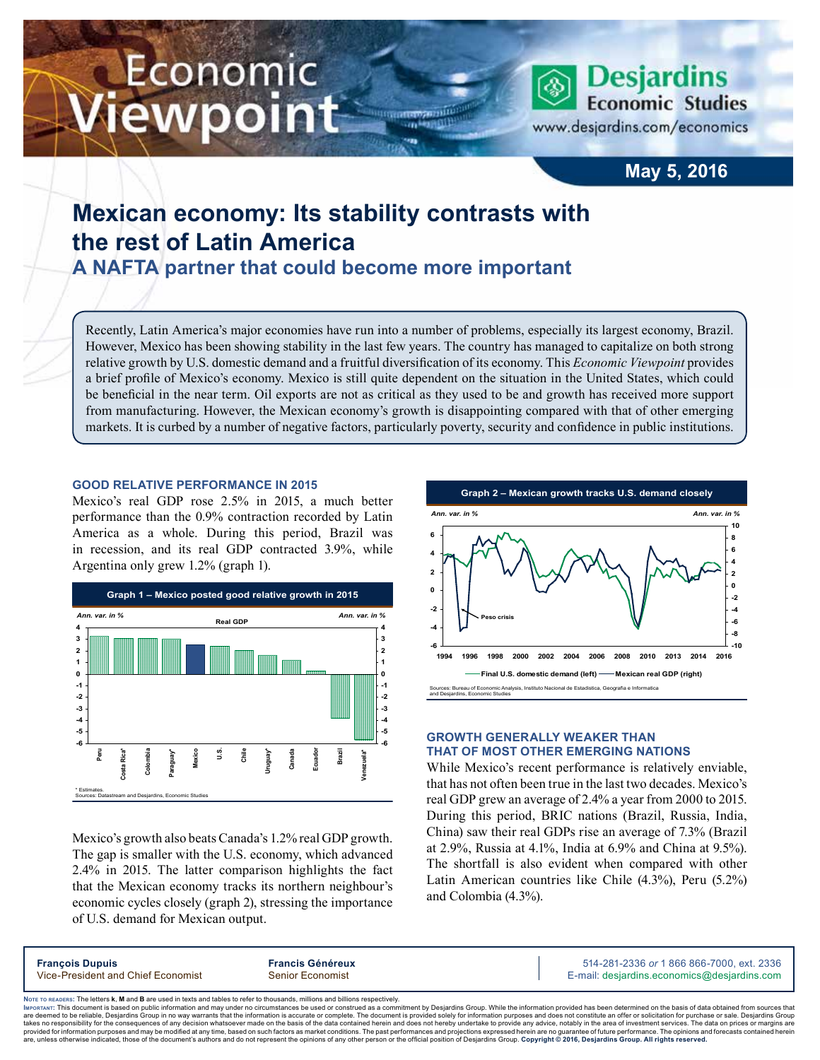# Economic ewpoint



www.desjardins.com/economics

### **May 5, 2016**

## **Mexican economy: Its stability contrasts with the rest of Latin America**

**A NAFTA partner that could become more important**

Recently, Latin America's major economies have run into a number of problems, especially its largest economy, Brazil. However, Mexico has been showing stability in the last few years. The country has managed to capitalize on both strong relative growth by U.S. domestic demand and a fruitful diversification of its economy. This *Economic Viewpoint* provides a brief profile of Mexico's economy. Mexico is still quite dependent on the situation in the United States, which could be beneficial in the near term. Oil exports are not as critical as they used to be and growth has received more support from manufacturing. However, the Mexican economy's growth is disappointing compared with that of other emerging markets. It is curbed by a number of negative factors, particularly poverty, security and confidence in public institutions.

#### **Good relative performance in 2015**

Mexico's real GDP rose 2.5% in 2015, a much better performance than the 0.9% contraction recorded by Latin America as a whole. During this period, Brazil was in recession, and its real GDP contracted 3.9%, while Argentina only grew 1.2% (graph 1).



Mexico's growth also beats Canada's 1.2% real GDP growth. The gap is smaller with the U.S. economy, which advanced 2.4% in 2015. The latter comparison highlights the fact that the Mexican economy tracks its northern neighbour's economic cycles closely (graph 2), stressing the importance of U.S. demand for Mexican output.



#### **Growth generally weaker than that of most other emerging nations**

While Mexico's recent performance is relatively enviable, that has not often been true in the last two decades. Mexico's real GDP grew an average of 2.4% a year from 2000 to 2015. During this period, BRIC nations (Brazil, Russia, India, China) saw their real GDPs rise an average of 7.3% (Brazil at 2.9%, Russia at 4.1%, India at 6.9% and China at 9.5%). The shortfall is also evident when compared with other Latin American countries like Chile (4.3%), Peru (5.2%) and Colombia (4.3%).

| <b>Francois Dupuis</b>             | <b>Francis Généreux</b> | 514-281-2336 or 1 866 866-7000, ext. 2336   |
|------------------------------------|-------------------------|---------------------------------------------|
| Vice-President and Chief Economist | <b>Senior Economist</b> | E-mail: desjardins.economics@desjardins.com |
|                                    |                         |                                             |

Noтє то вєлоєв<mark>: The letters **k**, M and B are used in texts and tables to refer to thousands, millions and billions respectively.<br>Імровтлит: This document is based on public information and may under no circumstances be u</mark> ment by Desjardins Group. While the information provided has been determined on the basis of data obtained from sources that are deemed to be reliable. Desiardins Group in no way warrants that the information is accurate or complete. The document is provided solely for information purposes and does not constitute an offer or solicitation for pur takes no responsibility for the consequences of any decision whatsoever made on the basis of the data contained herein and does not hereby undertake to provide any advice, notably in the area of investment services. The da .<br>are, unless otherwise indicated, those of the document's authors and do not represent the opinions of any other person or the official position of Desjardins Group. Copyright © 2016, Desjardins Group. All rights reserve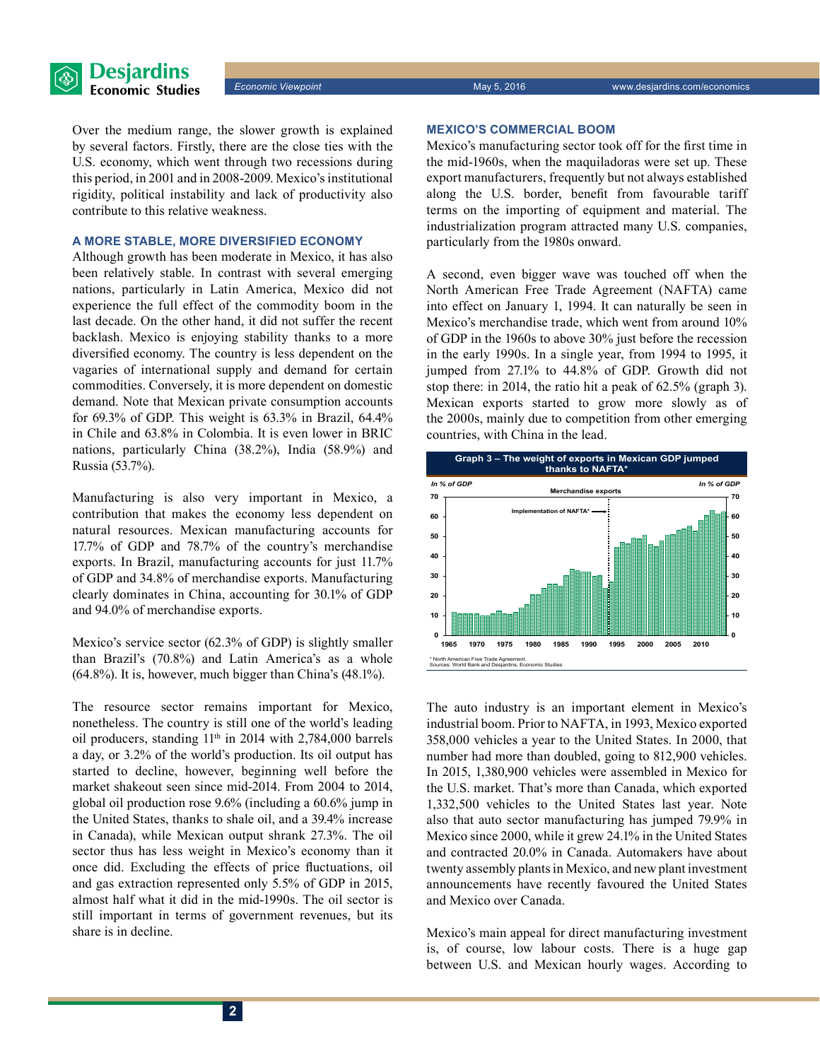

Over the medium range, the slower growth is explained by several factors. Firstly, there are the close ties with the U.S. economy, which went through two recessions during this period, in 2001 and in 2008‑2009. Mexico's institutional rigidity, political instability and lack of productivity also contribute to this relative weakness.

#### **A more stable, more diversified economy**

Although growth has been moderate in Mexico, it has also been relatively stable. In contrast with several emerging nations, particularly in Latin America, Mexico did not experience the full effect of the commodity boom in the last decade. On the other hand, it did not suffer the recent backlash. Mexico is enjoying stability thanks to a more diversified economy. The country is less dependent on the vagaries of international supply and demand for certain commodities. Conversely, it is more dependent on domestic demand. Note that Mexican private consumption accounts for 69.3% of GDP. This weight is 63.3% in Brazil, 64.4% in Chile and 63.8% in Colombia. It is even lower in BRIC nations, particularly China (38.2%), India (58.9%) and Russia (53.7%).

Manufacturing is also very important in Mexico, a contribution that makes the economy less dependent on natural resources. Mexican manufacturing accounts for 17.7% of GDP and 78.7% of the country's merchandise exports. In Brazil, manufacturing accounts for just 11.7% of GDP and 34.8% of merchandise exports. Manufacturing clearly dominates in China, accounting for 30.1% of GDP and 94.0% of merchandise exports.

Mexico's service sector (62.3% of GDP) is slightly smaller than Brazil's (70.8%) and Latin America's as a whole (64.8%). It is, however, much bigger than China's (48.1%).

The resource sector remains important for Mexico, nonetheless. The country is still one of the world's leading oil producers, standing  $11<sup>th</sup>$  in 2014 with 2,784,000 barrels a day, or 3.2% of the world's production. Its oil output has started to decline, however, beginning well before the market shakeout seen since mid-2014. From 2004 to 2014, global oil production rose 9.6% (including a 60.6% jump in the United States, thanks to shale oil, and a 39.4% increase in Canada), while Mexican output shrank 27.3%. The oil sector thus has less weight in Mexico's economy than it once did. Excluding the effects of price fluctuations, oil and gas extraction represented only 5.5% of GDP in 2015, almost half what it did in the mid‑1990s. The oil sector is still important in terms of government revenues, but its share is in decline.

#### **Mexico's commercial boom**

Mexico's manufacturing sector took off for the first time in the mid‑1960s, when the maquiladoras were set up. These export manufacturers, frequently but not always established along the U.S. border, benefit from favourable tariff terms on the importing of equipment and material. The industrialization program attracted many U.S. companies, particularly from the 1980s onward.

A second, even bigger wave was touched off when the North American Free Trade Agreement (NAFTA) came into effect on January 1, 1994. It can naturally be seen in Mexico's merchandise trade, which went from around 10% of GDP in the 1960s to above 30% just before the recession in the early 1990s. In a single year, from 1994 to 1995, it jumped from 27.1% to 44.8% of GDP. Growth did not stop there: in 2014, the ratio hit a peak of 62.5% (graph 3). Mexican exports started to grow more slowly as of the 2000s, mainly due to competition from other emerging countries, with China in the lead.



The auto industry is an important element in Mexico's industrial boom. Prior to NAFTA, in 1993, Mexico exported 358,000 vehicles a year to the United States. In 2000, that number had more than doubled, going to 812,900 vehicles. In 2015, 1,380,900 vehicles were assembled in Mexico for the U.S. market. That's more than Canada, which exported 1,332,500 vehicles to the United States last year. Note also that auto sector manufacturing has jumped 79.9% in Mexico since 2000, while it grew 24.1% in the United States and contracted 20.0% in Canada. Automakers have about twenty assembly plants in Mexico, and new plant investment announcements have recently favoured the United States and Mexico over Canada.

Mexico's main appeal for direct manufacturing investment is, of course, low labour costs. There is a huge gap between U.S. and Mexican hourly wages. According to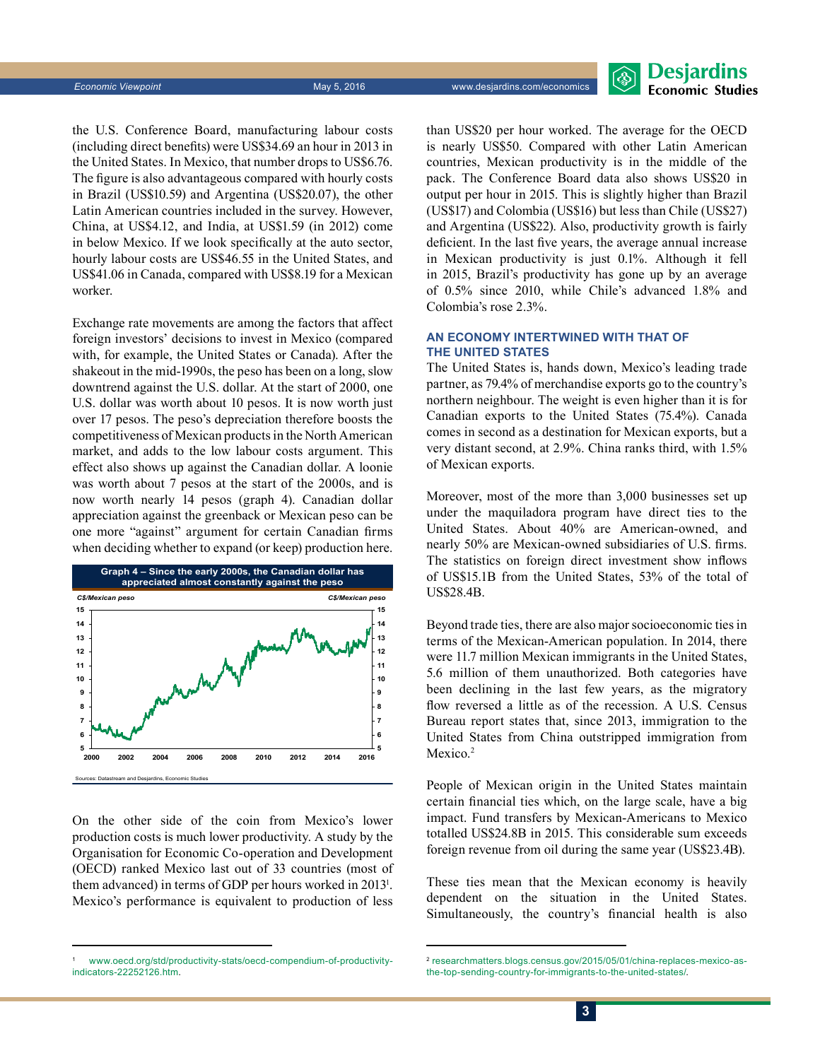

the U.S. Conference Board, manufacturing labour costs (including direct benefits) were US\$34.69 an hour in 2013 in the United States. In Mexico, that number drops to US\$6.76. The figure is also advantageous compared with hourly costs in Brazil (US\$10.59) and Argentina (US\$20.07), the other Latin American countries included in the survey. However, China, at US\$4.12, and India, at US\$1.59 (in 2012) come in below Mexico. If we look specifically at the auto sector, hourly labour costs are US\$46.55 in the United States, and US\$41.06 in Canada, compared with US\$8.19 for a Mexican worker.

Exchange rate movements are among the factors that affect foreign investors' decisions to invest in Mexico (compared with, for example, the United States or Canada). After the shakeout in the mid-1990s, the peso has been on a long, slow downtrend against the U.S. dollar. At the start of 2000, one U.S. dollar was worth about 10 pesos. It is now worth just over 17 pesos. The peso's depreciation therefore boosts the competitiveness of Mexican products in the North American market, and adds to the low labour costs argument. This effect also shows up against the Canadian dollar. A loonie was worth about 7 pesos at the start of the 2000s, and is now worth nearly 14 pesos (graph 4). Canadian dollar appreciation against the greenback or Mexican peso can be one more "against" argument for certain Canadian firms when deciding whether to expand (or keep) production here.



On the other side of the coin from Mexico's lower production costs is much lower productivity. A study by the Organisation for Economic Co-operation and Development (OECD) ranked Mexico last out of 33 countries (most of them advanced) in terms of GDP per hours worked in 20131 . Mexico's performance is equivalent to production of less

than US\$20 per hour worked. The average for the OECD is nearly US\$50. Compared with other Latin American countries, Mexican productivity is in the middle of the pack. The Conference Board data also shows US\$20 in output per hour in 2015. This is slightly higher than Brazil (US\$17) and Colombia (US\$16) but less than Chile (US\$27) and Argentina (US\$22). Also, productivity growth is fairly deficient. In the last five years, the average annual increase in Mexican productivity is just 0.1%. Although it fell in 2015, Brazil's productivity has gone up by an average of 0.5% since 2010, while Chile's advanced 1.8% and Colombia's rose 2.3%.

#### **An economy intertwined with that of the United States**

The United States is, hands down, Mexico's leading trade partner, as 79.4% of merchandise exports go to the country's northern neighbour. The weight is even higher than it is for Canadian exports to the United States (75.4%). Canada comes in second as a destination for Mexican exports, but a very distant second, at 2.9%. China ranks third, with 1.5% of Mexican exports.

Moreover, most of the more than 3,000 businesses set up under the maquiladora program have direct ties to the United States. About 40% are American-owned, and nearly 50% are Mexican-owned subsidiaries of U.S. firms. The statistics on foreign direct investment show inflows of US\$15.1B from the United States, 53% of the total of US\$28.4B.

Beyond trade ties, there are also major socioeconomic ties in terms of the Mexican-American population. In 2014, there were 11.7 million Mexican immigrants in the United States, 5.6 million of them unauthorized. Both categories have been declining in the last few years, as the migratory flow reversed a little as of the recession. A U.S. Census Bureau report states that, since 2013, immigration to the United States from China outstripped immigration from Mexico.<sup>2</sup>

People of Mexican origin in the United States maintain certain financial ties which, on the large scale, have a big impact. Fund transfers by Mexican-Americans to Mexico totalled US\$24.8B in 2015. This considerable sum exceeds foreign revenue from oil during the same year (US\$23.4B).

These ties mean that the Mexican economy is heavily dependent on the situation in the United States. Simultaneously, the country's financial health is also

[www.oecd.org/std/productivity-stats/oecd-compendium-of-productivity](http://www.oecd.org/std/productivity-stats/oecd-compendium-of-productivity-indicators-22252126.htm)[indicators-22252126.htm](http://www.oecd.org/std/productivity-stats/oecd-compendium-of-productivity-indicators-22252126.htm).

<sup>2</sup> [researchmatters.blogs.census.gov/2015/05/01/china-replaces-mexico-as](http://researchmatters.blogs.census.gov/2015/05/01/china-replaces-mexico-as-the-top-sending-country-for-immigrants-to-the-united-states/)[the-top-sending-country-for-immigrants-to-the-united-states/](http://researchmatters.blogs.census.gov/2015/05/01/china-replaces-mexico-as-the-top-sending-country-for-immigrants-to-the-united-states/).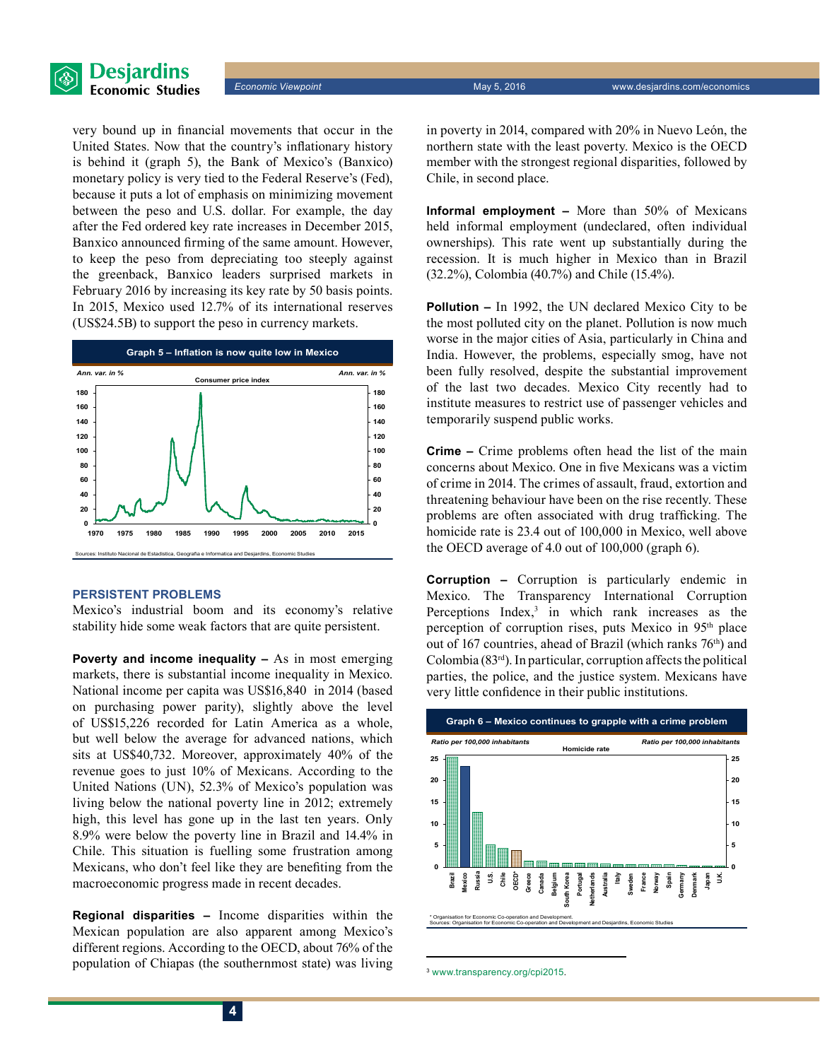

**Economic Viewpoint** May 5, 2016 www.desjardins.com/economics

very bound up in financial movements that occur in the United States. Now that the country's inflationary history is behind it (graph 5), the Bank of Mexico's (Banxico) monetary policy is very tied to the Federal Reserve's (Fed), because it puts a lot of emphasis on minimizing movement between the peso and U.S. dollar. For example, the day after the Fed ordered key rate increases in December 2015, Banxico announced firming of the same amount. However, to keep the peso from depreciating too steeply against the greenback, Banxico leaders surprised markets in February 2016 by increasing its key rate by 50 basis points. In 2015, Mexico used 12.7% of its international reserves



#### **Persistent problems**

Mexico's industrial boom and its economy's relative stability hide some weak factors that are quite persistent.

**Poverty and income inequality –** As in most emerging markets, there is substantial income inequality in Mexico. National income per capita was US\$16,840 in 2014 (based on purchasing power parity), slightly above the level of US\$15,226 recorded for Latin America as a whole, but well below the average for advanced nations, which sits at US\$40,732. Moreover, approximately 40% of the revenue goes to just 10% of Mexicans. According to the United Nations (UN), 52.3% of Mexico's population was living below the national poverty line in 2012; extremely high, this level has gone up in the last ten years. Only 8.9% were below the poverty line in Brazil and 14.4% in Chile. This situation is fuelling some frustration among Mexicans, who don't feel like they are benefiting from the macroeconomic progress made in recent decades.

**Regional disparities –** Income disparities within the Mexican population are also apparent among Mexico's different regions. According to the OECD, about 76% of the population of Chiapas (the southernmost state) was living in poverty in 2014, compared with 20% in Nuevo León, the northern state with the least poverty. Mexico is the OECD member with the strongest regional disparities, followed by Chile, in second place.

**Informal employment –** More than 50% of Mexicans held informal employment (undeclared, often individual ownerships). This rate went up substantially during the recession. It is much higher in Mexico than in Brazil (32.2%), Colombia (40.7%) and Chile (15.4%).

**Pollution –** In 1992, the UN declared Mexico City to be the most polluted city on the planet. Pollution is now much worse in the major cities of Asia, particularly in China and India. However, the problems, especially smog, have not been fully resolved, despite the substantial improvement of the last two decades. Mexico City recently had to institute measures to restrict use of passenger vehicles and temporarily suspend public works.

**Crime –** Crime problems often head the list of the main concerns about Mexico. One in five Mexicans was a victim of crime in 2014. The crimes of assault, fraud, extortion and threatening behaviour have been on the rise recently. These problems are often associated with drug trafficking. The homicide rate is 23.4 out of 100,000 in Mexico, well above the OECD average of 4.0 out of 100,000 (graph 6).

**Corruption –** Corruption is particularly endemic in Mexico. The Transparency International Corruption Perceptions  $Index$ , in which rank increases as the perception of corruption rises, puts Mexico in 95th place out of 167 countries, ahead of Brazil (which ranks  $76<sup>th</sup>$ ) and Colombia  $(83<sup>rd</sup>)$ . In particular, corruption affects the political parties, the police, and the justice system. Mexicans have very little confidence in their public institutions.



<sup>3</sup> [www.transparency.org/cpi2015](http://www.transparency.org/cpi2015).